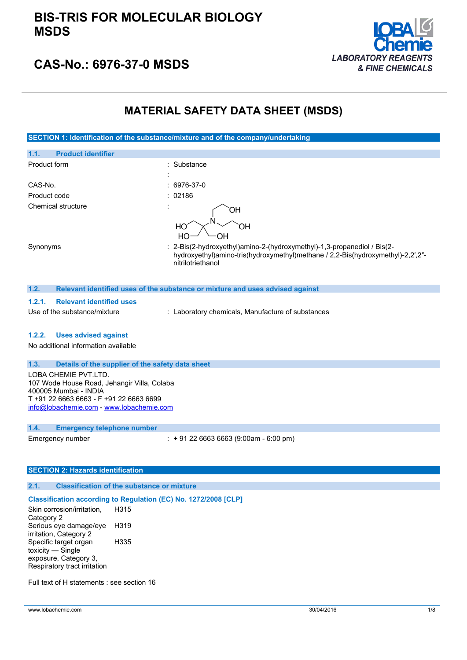

### **CAS-No.: 6976-37-0 MSDS**

### **MATERIAL SAFETY DATA SHEET (MSDS)**

**SECTION 1: Identification of the substance/mixture and of the company/undertaking**

| 1.1.<br><b>Product identifier</b> |                                                                                                                                                                                 |
|-----------------------------------|---------------------------------------------------------------------------------------------------------------------------------------------------------------------------------|
| Product form                      | : Substance                                                                                                                                                                     |
| CAS-No.                           | $: 6976-37-0$                                                                                                                                                                   |
| Product code                      | : 02186                                                                                                                                                                         |
| Chemical structure                | ЭH<br>HО<br>эH<br>OН<br>HО                                                                                                                                                      |
| Synonyms                          | : 2-Bis(2-hydroxyethyl)amino-2-(hydroxymethyl)-1,3-propanediol / Bis(2-<br>hydroxyethyl)amino-tris(hydroxymethyl)methane / 2,2-Bis(hydroxymethyl)-2,2',2"-<br>nitrilotriethanol |

#### **1.2. Relevant identified uses of the substance or mixture and uses advised against**

### **1.2.1. Relevant identified uses**

Use of the substance/mixture : Laboratory chemicals, Manufacture of substances

#### **1.2.2. Uses advised against**

No additional information available

### **1.3. Details of the supplier of the safety data sheet**

LOBA CHEMIE PVT.LTD. 107 Wode House Road, Jehangir Villa, Colaba 400005 Mumbai - INDIA T +91 22 6663 6663 - F +91 22 6663 6699 [info@lobachemie.com](mailto:info@lobachemie.com) - <www.lobachemie.com>

#### **1.4. Emergency telephone number**

Emergency number : + 91 22 6663 6663 (9:00am - 6:00 pm)

### **SECTION 2: Hazards identification**

### **2.1. Classification of the substance or mixture**

#### **Classification according to Regulation (EC) No. 1272/2008 [CLP]**

Skin corrosion/irritation, Category 2 H315 Serious eye damage/eye irritation, Category 2 H319 Specific target organ toxicity — Single exposure, Category 3, Respiratory tract irritation H335

Full text of H statements : see section 16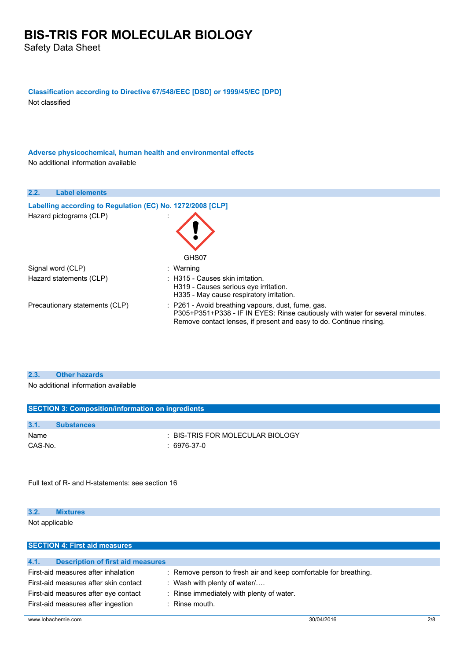Safety Data Sheet

**Classification according to Directive 67/548/EEC [DSD] or 1999/45/EC [DPD]**

Not classified

**Adverse physicochemical, human health and environmental effects** No additional information available

| <b>Label elements</b><br>2.2.                              |                                                                                                                                                                                                            |
|------------------------------------------------------------|------------------------------------------------------------------------------------------------------------------------------------------------------------------------------------------------------------|
| Labelling according to Regulation (EC) No. 1272/2008 [CLP] |                                                                                                                                                                                                            |
| Hazard pictograms (CLP)                                    | GHS07                                                                                                                                                                                                      |
| Signal word (CLP)                                          | : Warning                                                                                                                                                                                                  |
| Hazard statements (CLP)                                    | $\therefore$ H315 - Causes skin irritation.<br>H319 - Causes serious eye irritation.<br>H335 - May cause respiratory irritation.                                                                           |
| Precautionary statements (CLP)                             | : P261 - Avoid breathing vapours, dust, fume, gas.<br>P305+P351+P338 - IF IN EYES: Rinse cautiously with water for several minutes.<br>Remove contact lenses, if present and easy to do. Continue rinsing. |

### **2.3. Other hazards**

No additional information available

| <b>SECTION 3: Composition/information on ingredients</b> |                   |                                  |
|----------------------------------------------------------|-------------------|----------------------------------|
|                                                          |                   |                                  |
| 3.1.                                                     | <b>Substances</b> |                                  |
| Name                                                     |                   | : BIS-TRIS FOR MOLECULAR BIOLOGY |
| CAS-No.                                                  |                   | 6976-37-0                        |
|                                                          |                   |                                  |

Full text of R- and H-statements: see section 16

### **3.2. Mixtures**

Not applicable

| <b>SECTION 4: First aid measures</b>             |                                                                  |
|--------------------------------------------------|------------------------------------------------------------------|
|                                                  |                                                                  |
| 4.1.<br><b>Description of first aid measures</b> |                                                                  |
| First-aid measures after inhalation              | : Remove person to fresh air and keep comfortable for breathing. |
| First-aid measures after skin contact            | : Wash with plenty of water $/$                                  |
| First-aid measures after eye contact             | : Rinse immediately with plenty of water.                        |
| First-aid measures after ingestion               | $\therefore$ Rinse mouth.                                        |
|                                                  |                                                                  |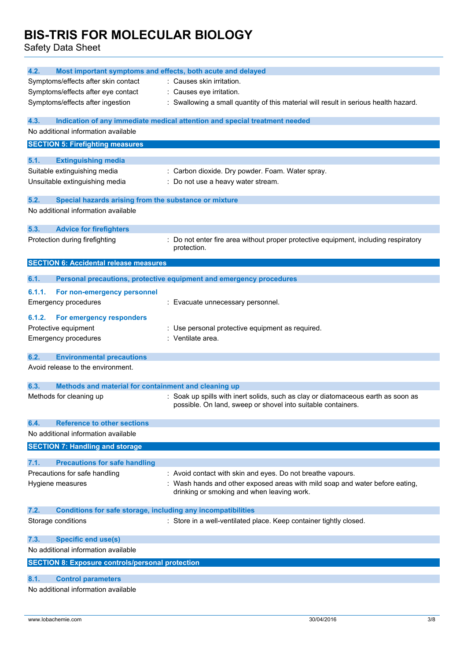Safety Data Sheet

| 4.2.<br>Most important symptoms and effects, both acute and delayed                                  |                                                                                                                                                   |
|------------------------------------------------------------------------------------------------------|---------------------------------------------------------------------------------------------------------------------------------------------------|
| Symptoms/effects after skin contact                                                                  | : Causes skin irritation.                                                                                                                         |
| Symptoms/effects after eye contact                                                                   | : Causes eye irritation.                                                                                                                          |
| Symptoms/effects after ingestion                                                                     | : Swallowing a small quantity of this material will result in serious health hazard.                                                              |
| 4.3.                                                                                                 | Indication of any immediate medical attention and special treatment needed                                                                        |
| No additional information available                                                                  |                                                                                                                                                   |
| <b>SECTION 5: Firefighting measures</b>                                                              |                                                                                                                                                   |
| 5.1.<br><b>Extinguishing media</b>                                                                   |                                                                                                                                                   |
| Suitable extinguishing media                                                                         | : Carbon dioxide. Dry powder. Foam. Water spray.                                                                                                  |
| Unsuitable extinguishing media                                                                       | : Do not use a heavy water stream.                                                                                                                |
|                                                                                                      |                                                                                                                                                   |
| 5.2.<br>Special hazards arising from the substance or mixture<br>No additional information available |                                                                                                                                                   |
|                                                                                                      |                                                                                                                                                   |
| 5.3.<br><b>Advice for firefighters</b>                                                               |                                                                                                                                                   |
| Protection during firefighting                                                                       | Do not enter fire area without proper protective equipment, including respiratory<br>protection.                                                  |
| <b>SECTION 6: Accidental release measures</b>                                                        |                                                                                                                                                   |
| 6.1.                                                                                                 | Personal precautions, protective equipment and emergency procedures                                                                               |
| 6.1.1.<br>For non-emergency personnel                                                                |                                                                                                                                                   |
| <b>Emergency procedures</b>                                                                          | : Evacuate unnecessary personnel.                                                                                                                 |
|                                                                                                      |                                                                                                                                                   |
| For emergency responders<br>6.1.2.                                                                   |                                                                                                                                                   |
| Protective equipment                                                                                 | : Use personal protective equipment as required.                                                                                                  |
| <b>Emergency procedures</b>                                                                          | : Ventilate area.                                                                                                                                 |
| 6.2.<br><b>Environmental precautions</b>                                                             |                                                                                                                                                   |
| Avoid release to the environment.                                                                    |                                                                                                                                                   |
| 6.3.<br>Methods and material for containment and cleaning up                                         |                                                                                                                                                   |
| Methods for cleaning up                                                                              | : Soak up spills with inert solids, such as clay or diatomaceous earth as soon as<br>possible. On land, sweep or shovel into suitable containers. |
| 6.4.<br><b>Reference to other sections</b>                                                           |                                                                                                                                                   |
| No additional information available                                                                  |                                                                                                                                                   |
| <b>SECTION 7: Handling and storage</b>                                                               |                                                                                                                                                   |
| 7.1.<br><b>Precautions for safe handling</b>                                                         |                                                                                                                                                   |
| Precautions for safe handling                                                                        | : Avoid contact with skin and eyes. Do not breathe vapours.                                                                                       |
| Hygiene measures                                                                                     | : Wash hands and other exposed areas with mild soap and water before eating,                                                                      |
|                                                                                                      | drinking or smoking and when leaving work.                                                                                                        |
| 7.2.<br><b>Conditions for safe storage, including any incompatibilities</b>                          |                                                                                                                                                   |
| Storage conditions                                                                                   | : Store in a well-ventilated place. Keep container tightly closed.                                                                                |
| <b>Specific end use(s)</b><br>7.3.                                                                   |                                                                                                                                                   |
| No additional information available                                                                  |                                                                                                                                                   |
| <b>SECTION 8: Exposure controls/personal protection</b>                                              |                                                                                                                                                   |
|                                                                                                      |                                                                                                                                                   |
| 8.1.<br><b>Control parameters</b>                                                                    |                                                                                                                                                   |
| No additional information available                                                                  |                                                                                                                                                   |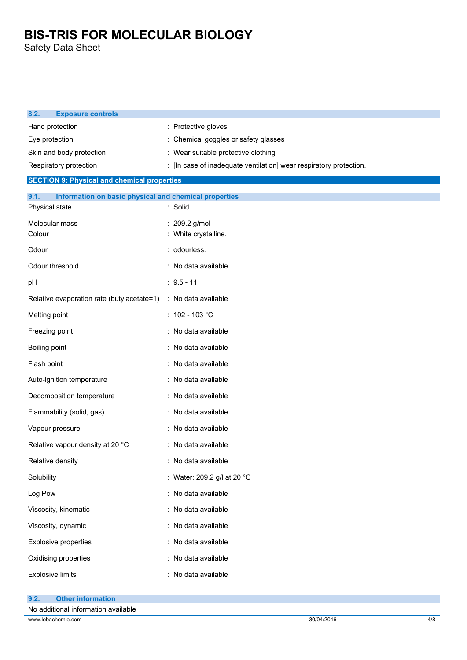Safety Data Sheet

| 8.2.<br><b>Exposure controls</b>                                                |                                                                    |
|---------------------------------------------------------------------------------|--------------------------------------------------------------------|
| Hand protection                                                                 | : Protective gloves                                                |
| Eye protection                                                                  | : Chemical goggles or safety glasses                               |
| Skin and body protection                                                        | : Wear suitable protective clothing                                |
| Respiratory protection                                                          | : [In case of inadequate ventilation] wear respiratory protection. |
| <b>SECTION 9: Physical and chemical properties</b>                              |                                                                    |
| 9.1.<br>Information on basic physical and chemical properties<br>Physical state | : Solid                                                            |
| Molecular mass<br>Colour                                                        | : 209.2 g/mol<br>: White crystalline.                              |
| Odour                                                                           | : odourless.                                                       |
| Odour threshold                                                                 | : No data available                                                |
| pH                                                                              | $: 9.5 - 11$                                                       |
| Relative evaporation rate (butylacetate=1)                                      | : No data available                                                |
| Melting point                                                                   | : $102 - 103$ °C                                                   |
| Freezing point                                                                  | : No data available                                                |
| Boiling point                                                                   | : No data available                                                |
| Flash point                                                                     | : No data available                                                |
| Auto-ignition temperature                                                       | : No data available                                                |
| Decomposition temperature                                                       | : No data available                                                |
| Flammability (solid, gas)                                                       | : No data available                                                |
| Vapour pressure                                                                 | : No data available                                                |
| Relative vapour density at 20 °C                                                | : No data available                                                |
| Relative density                                                                | : No data available                                                |
| Solubility                                                                      | : Water: 209.2 g/l at 20 °C                                        |
| Log Pow                                                                         | : No data available                                                |
| Viscosity, kinematic                                                            | : No data available                                                |
| Viscosity, dynamic                                                              | : No data available                                                |
| Explosive properties                                                            | : No data available                                                |
| Oxidising properties                                                            | : No data available                                                |
| <b>Explosive limits</b>                                                         | : No data available                                                |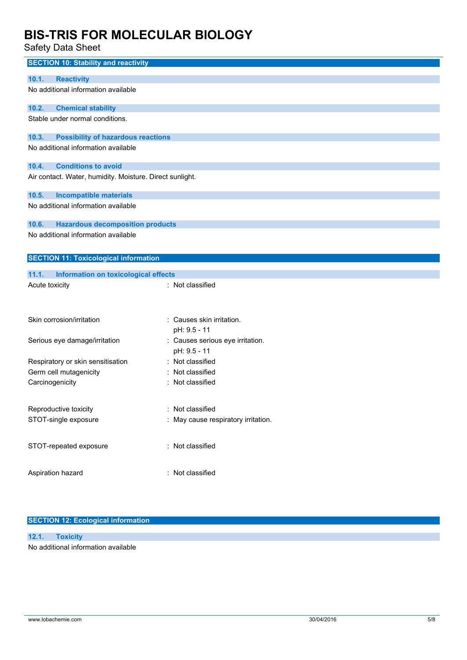Safety Data Sheet

| <b>SECTION 10: Stability and reactivity</b>              |                                                  |
|----------------------------------------------------------|--------------------------------------------------|
| 10.1.<br><b>Reactivity</b>                               |                                                  |
| No additional information available                      |                                                  |
| 10.2.<br><b>Chemical stability</b>                       |                                                  |
| Stable under normal conditions.                          |                                                  |
| <b>Possibility of hazardous reactions</b><br>10.3.       |                                                  |
| No additional information available                      |                                                  |
| <b>Conditions to avoid</b><br>10.4.                      |                                                  |
| Air contact. Water, humidity. Moisture. Direct sunlight. |                                                  |
| 10.5.<br><b>Incompatible materials</b>                   |                                                  |
| No additional information available                      |                                                  |
| 10.6.<br><b>Hazardous decomposition products</b>         |                                                  |
| No additional information available                      |                                                  |
| <b>SECTION 11: Toxicological information</b>             |                                                  |
| 11.1.<br>Information on toxicological effects            |                                                  |
| Acute toxicity                                           | : Not classified                                 |
|                                                          |                                                  |
| Skin corrosion/irritation                                | : Causes skin irritation.                        |
|                                                          | pH: 9.5 - 11                                     |
| Serious eye damage/irritation                            | : Causes serious eye irritation.<br>pH: 9.5 - 11 |
| Respiratory or skin sensitisation                        | : Not classified                                 |
| Germ cell mutagenicity                                   | Not classified                                   |
| Carcinogenicity                                          | Not classified                                   |
| Reproductive toxicity                                    | Not classified                                   |
| STOT-single exposure                                     | : May cause respiratory irritation.              |
| STOT-repeated exposure                                   | : Not classified                                 |
| Aspiration hazard                                        | : Not classified                                 |
|                                                          |                                                  |
|                                                          |                                                  |

### **SECTION 12: Ecological information**

### **12.1. Toxicity**

No additional information available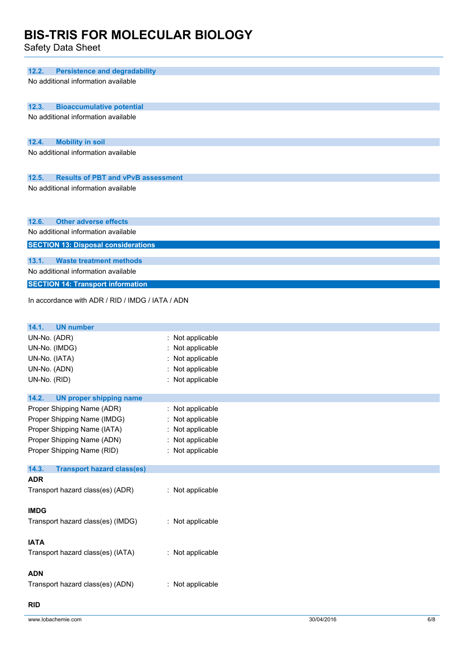Safety Data Sheet

| 12.2.<br><b>Persistence and degradability</b><br>No additional information available |                                    |
|--------------------------------------------------------------------------------------|------------------------------------|
|                                                                                      |                                    |
|                                                                                      |                                    |
| 12.3.<br><b>Bioaccumulative potential</b>                                            |                                    |
| No additional information available                                                  |                                    |
|                                                                                      |                                    |
| <b>Mobility in soil</b><br>12.4.                                                     |                                    |
| No additional information available                                                  |                                    |
|                                                                                      |                                    |
| 12.5.<br><b>Results of PBT and vPvB assessment</b>                                   |                                    |
| No additional information available                                                  |                                    |
|                                                                                      |                                    |
| 12.6.<br><b>Other adverse effects</b>                                                |                                    |
| No additional information available                                                  |                                    |
| <b>SECTION 13: Disposal considerations</b>                                           |                                    |
|                                                                                      |                                    |
| 13.1.<br><b>Waste treatment methods</b>                                              |                                    |
| No additional information available                                                  |                                    |
| <b>SECTION 14: Transport information</b>                                             |                                    |
| In accordance with ADR / RID / IMDG / IATA / ADN                                     |                                    |
|                                                                                      |                                    |
| 14.1.<br><b>UN number</b>                                                            |                                    |
| UN-No. (ADR)                                                                         | : Not applicable                   |
| UN-No. (IMDG)                                                                        | : Not applicable                   |
| UN-No. (IATA)                                                                        | Not applicable                     |
| UN-No. (ADN)                                                                         | : Not applicable                   |
| UN-No. (RID)                                                                         | : Not applicable                   |
|                                                                                      |                                    |
| 14.2.<br><b>UN proper shipping name</b><br>Proper Shipping Name (ADR)                |                                    |
| Proper Shipping Name (IMDG)                                                          | : Not applicable<br>Not applicable |
| Proper Shipping Name (IATA)                                                          | : Not applicable                   |
| Proper Shipping Name (ADN)                                                           | : Not applicable                   |
| Proper Shipping Name (RID)                                                           | : Not applicable                   |
|                                                                                      |                                    |
| 14.3.<br><b>Transport hazard class(es)</b>                                           |                                    |
| <b>ADR</b><br>Transport hazard class(es) (ADR)                                       | : Not applicable                   |
|                                                                                      |                                    |
| <b>IMDG</b>                                                                          |                                    |
| Transport hazard class(es) (IMDG)                                                    | : Not applicable                   |
|                                                                                      |                                    |
| <b>IATA</b>                                                                          |                                    |
| Transport hazard class(es) (IATA)                                                    | : Not applicable                   |
|                                                                                      |                                    |
| <b>ADN</b>                                                                           |                                    |
| Transport hazard class(es) (ADN)                                                     | : Not applicable                   |

### **RID**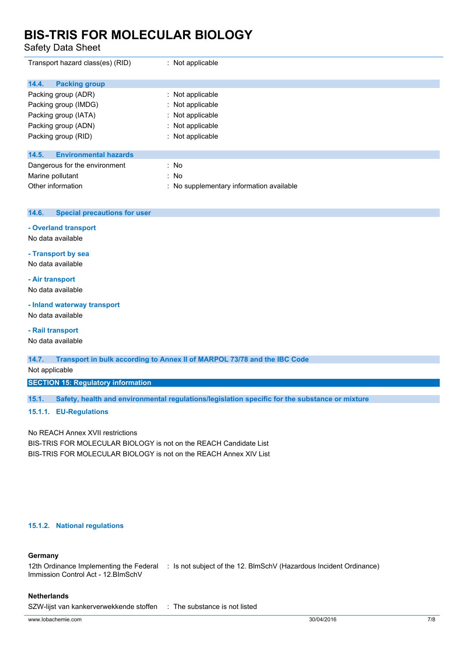Safety Data Sheet

| Transport hazard class(es) (RID)      | : Not applicable                         |
|---------------------------------------|------------------------------------------|
| 14.4.<br><b>Packing group</b>         |                                          |
| Packing group (ADR)                   | : Not applicable                         |
| Packing group (IMDG)                  | : Not applicable                         |
| Packing group (IATA)                  | : Not applicable                         |
| Packing group (ADN)                   | : Not applicable                         |
| Packing group (RID)                   | : Not applicable                         |
|                                       |                                          |
| <b>Environmental hazards</b><br>14.5. |                                          |
| Dangerous for the environment         | : No                                     |
| Marine pollutant                      | : No                                     |
| Other information                     | : No supplementary information available |

### **14.6. Special precautions for user**

### **- Overland transport**

No data available

### **- Transport by sea**

No data available

### **- Air transport**

No data available

### **- Inland waterway transport**

No data available

### **- Rail transport**

No data available

**14.7. Transport in bulk according to Annex II of MARPOL 73/78 and the IBC Code**

### Not applicable

**SECTION 15: Regulatory information**

**15.1. Safety, health and environmental regulations/legislation specific for the substance or mixture**

### **15.1.1. EU-Regulations**

No REACH Annex XVII restrictions

BIS-TRIS FOR MOLECULAR BIOLOGY is not on the REACH Candidate List BIS-TRIS FOR MOLECULAR BIOLOGY is not on the REACH Annex XIV List

### **15.1.2. National regulations**

### **Germany**

12th Ordinance Implementing the Federal : Is not subject of the 12. BlmSchV (Hazardous Incident Ordinance) Immission Control Act - 12.BImSchV

### **Netherlands**

SZW-lijst van kankerverwekkende stoffen : The substance is not listed